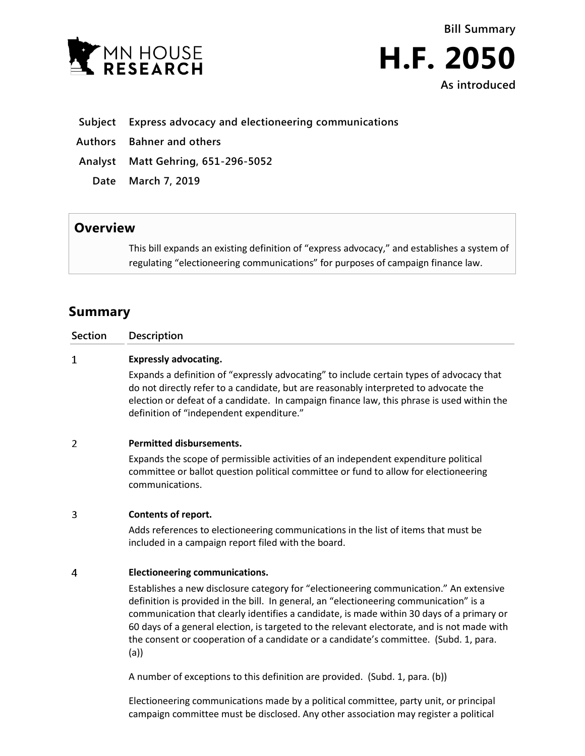



### **Subject Express advocacy and electioneering communications**

**Authors Bahner and others**

**Analyst Matt Gehring, 651-296-5052**

**Date March 7, 2019**

## **Overview**

This bill expands an existing definition of "express advocacy," and establishes a system of regulating "electioneering communications" for purposes of campaign finance law.

# **Summary**

| Section | Description                  |
|---------|------------------------------|
| ÷.      | <b>Expressly advocating.</b> |

Expands a definition of "expressly advocating" to include certain types of advocacy that do not directly refer to a candidate, but are reasonably interpreted to advocate the election or defeat of a candidate. In campaign finance law, this phrase is used within the definition of "independent expenditure."

### $\overline{2}$ **Permitted disbursements.**

Expands the scope of permissible activities of an independent expenditure political committee or ballot question political committee or fund to allow for electioneering communications.

### 3 **Contents of report.**

Adds references to electioneering communications in the list of items that must be included in a campaign report filed with the board.

### $\overline{4}$ **Electioneering communications.**

Establishes a new disclosure category for "electioneering communication." An extensive definition is provided in the bill. In general, an "electioneering communication" is a communication that clearly identifies a candidate, is made within 30 days of a primary or 60 days of a general election, is targeted to the relevant electorate, and is not made with the consent or cooperation of a candidate or a candidate's committee. (Subd. 1, para. (a))

A number of exceptions to this definition are provided. (Subd. 1, para. (b))

Electioneering communications made by a political committee, party unit, or principal campaign committee must be disclosed. Any other association may register a political